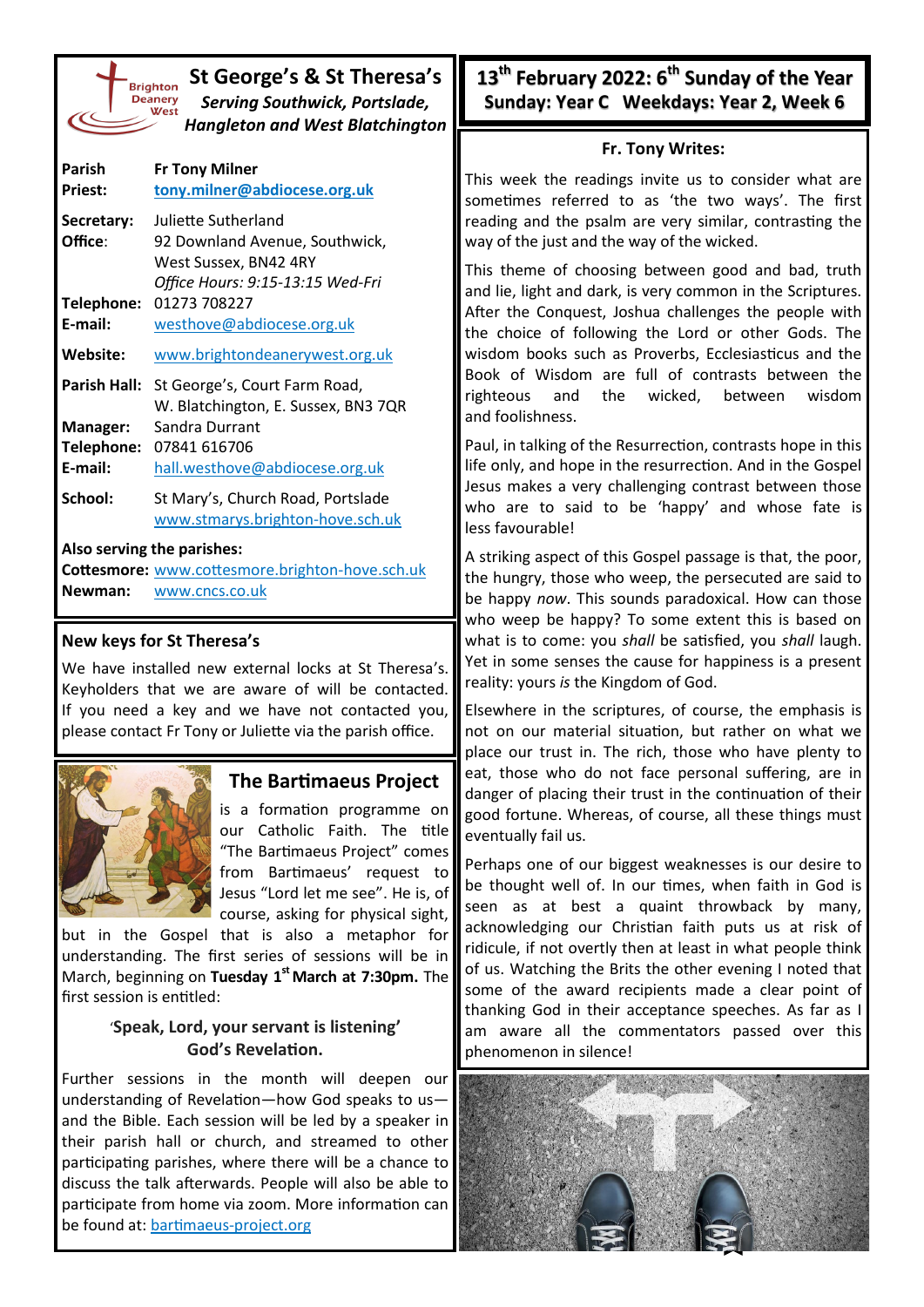| St George's & St Theresa's<br><b>Brighton</b><br><b>Serving Southwick, Portslade,</b><br><b>Hangleton and West Blatchington</b> |                                     |  |  |
|---------------------------------------------------------------------------------------------------------------------------------|-------------------------------------|--|--|
| Parish                                                                                                                          | <b>Fr Tony Milner</b>               |  |  |
| <b>Priest:</b>                                                                                                                  | tony.milner@abdiocese.org.uk        |  |  |
| Secretary:                                                                                                                      | Juliette Sutherland                 |  |  |
| Office:                                                                                                                         | 92 Downland Avenue, Southwick,      |  |  |
|                                                                                                                                 | West Sussex, BN42 4RY               |  |  |
|                                                                                                                                 | Office Hours: 9:15-13:15 Wed-Fri    |  |  |
| Telephone:                                                                                                                      | 01273 708227                        |  |  |
| E-mail:                                                                                                                         | westhove@abdiocese.org.uk           |  |  |
| Website:                                                                                                                        | www.brightondeanerywest.org.uk      |  |  |
| Parish Hall:                                                                                                                    | St George's, Court Farm Road,       |  |  |
|                                                                                                                                 | W. Blatchington, E. Sussex, BN3 7QR |  |  |
| <b>Manager:</b>                                                                                                                 | Sandra Durrant                      |  |  |

- **Telephone:** 07841 616706 **E-mail:** [hall.westhove@abdiocese.org.uk](mailto:westhove@abdiocese.org.uk?subject=Message%20sent%20via%20the%20newsletter)
- School: St Mary's, Church Road, Portslade [www.stmarys.brighton](https://www.stmarys.brighton-hove.sch.uk/)-hove.sch.uk

#### **Also serving the parishes:**

**Cottesmore:** [www.cottesmore.brighton](http://www.cottesmore.brighton-hove.sch.uk)-hove.sch.uk **Newman:** [www.cncs.co.uk](https://www.cncs.co.uk/)

## **New keys for St Theresa's**

We have installed new external locks at St Theresa's. Keyholders that we are aware of will be contacted. If you need a key and we have not contacted you, please contact Fr Tony or Juliette via the parish office.



# **The Bartimaeus Project**

is a formation programme on our Catholic Faith. The title "The Bartimaeus Project" comes from Bartimaeus' request to Jesus "Lord let me see". He is, of course, asking for physical sight,

but in the Gospel that is also a metaphor for understanding. The first series of sessions will be in March, beginning on **Tuesday 1st March at 7:30pm.** The first session is entitled:

## '**Speak, Lord, your servant is listening' God's Revelation.**

Further sessions in the month will deepen our understanding of Revelation—how God speaks to us and the Bible. Each session will be led by a speaker in their parish hall or church, and streamed to other participating parishes, where there will be a chance to discuss the talk afterwards. People will also be able to participate from home via zoom. More information can be found at: [bartimaeus](https://bartimaeus-project.org/)-project.org

**13th February 2022: 6th Sunday of the Year Sunday: Year C Weekdays: Year 2, Week 6**

### **Fr. Tony Writes:**

This week the readings invite us to consider what are sometimes referred to as 'the two ways'. The first reading and the psalm are very similar, contrasting the way of the just and the way of the wicked.

This theme of choosing between good and bad, truth and lie, light and dark, is very common in the Scriptures. After the Conquest, Joshua challenges the people with the choice of following the Lord or other Gods. The wisdom books such as Proverbs, Ecclesiasticus and the Book of Wisdom are full of contrasts between the righteous and the wicked, between wisdom and foolishness.

Paul, in talking of the Resurrection, contrasts hope in this life only, and hope in the resurrection. And in the Gospel Jesus makes a very challenging contrast between those who are to said to be 'happy' and whose fate is less favourable!

A striking aspect of this Gospel passage is that, the poor, the hungry, those who weep, the persecuted are said to be happy *now*. This sounds paradoxical. How can those who weep be happy? To some extent this is based on what is to come: you *shall* be satisfied, you *shall* laugh. Yet in some senses the cause for happiness is a present reality: yours *is* the Kingdom of God.

Elsewhere in the scriptures, of course, the emphasis is not on our material situation, but rather on what we place our trust in. The rich, those who have plenty to eat, those who do not face personal suffering, are in danger of placing their trust in the continuation of their good fortune. Whereas, of course, all these things must eventually fail us.

Perhaps one of our biggest weaknesses is our desire to be thought well of. In our times, when faith in God is seen as at best a quaint throwback by many, acknowledging our Christian faith puts us at risk of ridicule, if not overtly then at least in what people think of us. Watching the Brits the other evening I noted that some of the award recipients made a clear point of thanking God in their acceptance speeches. As far as I am aware all the commentators passed over this phenomenon in silence!